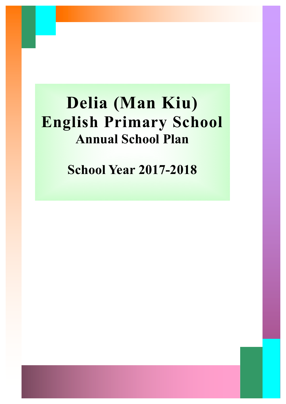# **Delia (Man Kiu) English Primary School Annual School Plan**

**School Year 2017-2018**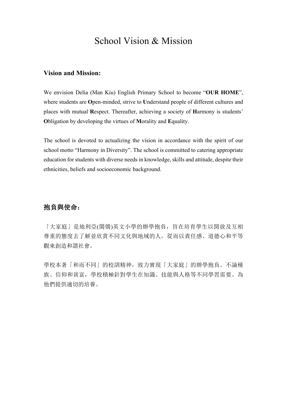### School Vision & Mission

#### **Vision and Mission:**

We envision Delia (Man Kiu) English Primary School to become "**OUR HOME**", where students are **O**pen-minded, strive to **U**nderstand people of different cultures and places with mutual **R**espect. Thereafter, achieving a society of **H**armony is students' **O**bligation by developing the virtues of **M**orality and **E**quality.

The school is devoted to actualizing the vision in accordance with the spirit of our school motto "Harmony in Diversity". The school is committed to catering appropriate education for students with diverse needs in knowledge, skills and attitude, despite their ethnicities, beliefs and socioeconomic background.

#### 抱負與使命:

「大家庭」是地利亞(閩僑)英文小學的辦學抱負, 旨在培育學生以開放及互相 尊重的態度去了解並欣賞不同文化與地域的人。從而以責任感、道德心和平等 觀來創造和諧社會。

學校本著「和而不同」的校訓精神,致力實現「大家庭」的辦學抱負。不論種 族、信仰和貧富, 學校積極針對學生在知識、技能與人格等不同學習需要、為 他們提供適切的培養。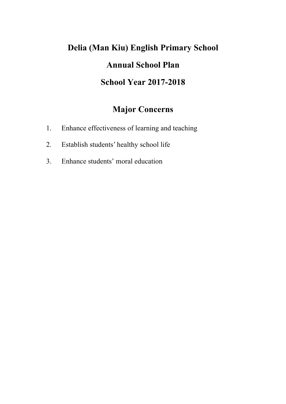## **Delia (Man Kiu) English Primary School Annual School Plan School Year 2017-2018**

## **Major Concerns**

- 1. Enhance effectiveness of learning and teaching
- 2. Establish students' healthy school life
- 3. Enhance students' moral education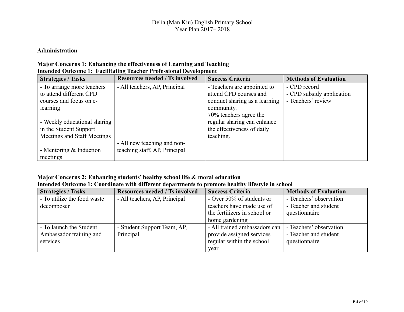#### **Administration**

#### **Major Concerns 1: Enhancing the effectiveness of Learning and Teaching Intended Outcome 1: Facilitating Teacher Professional Development**

| <b>Strategies / Tasks</b>    | <b>Resources needed / Ts involved</b> | <b>Success Criteria</b>       | <b>Methods of Evaluation</b> |
|------------------------------|---------------------------------------|-------------------------------|------------------------------|
| - To arrange more teachers   | - All teachers, AP, Principal         | - Teachers are appointed to   | - CPD record                 |
| to attend different CPD      |                                       | attend CPD courses and        | - CPD subsidy application    |
| courses and focus on e-      |                                       | conduct sharing as a learning | - Teachers' review           |
| learning                     |                                       | community.                    |                              |
|                              |                                       | 70% teachers agree the        |                              |
| - Weekly educational sharing |                                       | regular sharing can enhance   |                              |
| in the Student Support       |                                       | the effectiveness of daily    |                              |
| Meetings and Staff Meetings  |                                       | teaching.                     |                              |
|                              | - All new teaching and non-           |                               |                              |
| - Mentoring $&$ Induction    | teaching staff, AP, Principal         |                               |                              |
| meetings                     |                                       |                               |                              |

#### **Major Concerns 2: Enhancing students' healthy school life & moral education**

| Intended Outcome 1: Coordinate with different departments to promote healthy lifestyle in school |  |  |  |
|--------------------------------------------------------------------------------------------------|--|--|--|
|--------------------------------------------------------------------------------------------------|--|--|--|

| <b>Strategies / Tasks</b>   | <b>Resources needed / Ts involved</b> | <b>Success Criteria</b>       | <b>Methods of Evaluation</b> |
|-----------------------------|---------------------------------------|-------------------------------|------------------------------|
| - To utilize the food waste | - All teachers, AP, Principal         | - Over 50% of students or     | - Teachers' observation      |
| decomposer                  |                                       | teachers have made use of     | - Teacher and student        |
|                             |                                       | the fertilizers in school or  | questionnaire                |
|                             |                                       | home gardening                |                              |
| - To launch the Student     | - Student Support Team, AP,           | - All trained ambassadors can | - Teachers' observation      |
| Ambassador training and     | Principal                             | provide assigned services     | - Teacher and student        |
| services                    |                                       | regular within the school     | questionnaire                |
|                             |                                       | vear                          |                              |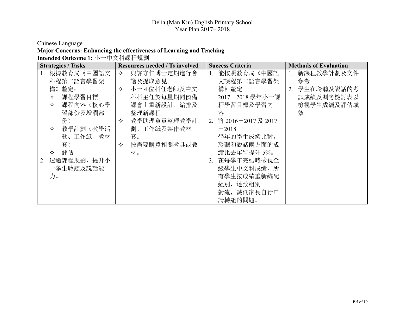Chinese Language

#### **Major Concerns: Enhancing the effectiveness of Learning and Teaching**

Intended Outcome 1: 小一中文科課程規劃

| <b>Strategies / Tasks</b> | <b>Resources needed / Ts involved</b> | <b>Success Criteria</b>      | <b>Methods of Evaluation</b> |
|---------------------------|---------------------------------------|------------------------------|------------------------------|
| 根據教育局《中國語文<br>1.          | 與許守仁博士定期進行會<br>✧                      | 能按照教育局《中國語                   | 新課程教學計劃及文件                   |
| 科程第二語言學習架                 | 議及提取意見。                               | 文課程第二語言學習架                   | 參考                           |
| 構》釐定:                     | 小一4位科任老師及中文<br>✧                      | 構》釐定                         | 學生在聆聽及説話的考<br>$2_{-}$        |
| 課程學習目標<br>✧               | 科科主任於每星期同儕備                           | 2017-2018 學年小一課              | 試成績及測考檢討表以                   |
| 課程內容(核心學<br>✧             | 課會上重新設計、編排及                           | 程學習目標及學習內                    | 檢視學生成績及評估成                   |
| 習部份及增潤部                   | 整理新課程。                                | 容。                           | 效。                           |
| 份)                        | 教學助理負責整理教學計<br>✧                      | 將 2016-2017及 2017<br>2.      |                              |
| 教學計劃(教學活<br>✧             | 劃、工作紙及製作教材                            | $-2018$                      |                              |
| 動、工作紙、教材                  | 套。                                    | 學年的學生成績比對,                   |                              |
| 套)                        | 按需要購買相關教具或教<br>✧                      | 聆聽和説話兩方面的成                   |                              |
| 評估<br>✧                   | 材。                                    | 績比去年皆提升 5%。                  |                              |
| 透過課程規劃, 提升小<br>2.         |                                       | 在每學年完結時檢視全<br>3 <sub>1</sub> |                              |
| 一學生聆聽及説話能                 |                                       | 級學生中文科成績, 所                  |                              |
| 力。                        |                                       | 有學生按成績重新編配                   |                              |
|                           |                                       | 組別, 達致組別                     |                              |
|                           |                                       | 對流, 減低家長自行申                  |                              |
|                           |                                       | 請轉組的問題。                      |                              |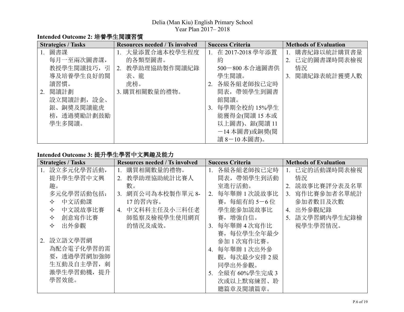#### Intended Outcome 2: 培養學生閱讀習慣

| <b>Strategies / Tasks</b> | <b>Resources needed / Ts involved</b> | <b>Success Criteria</b>     | <b>Methods of Evaluation</b> |
|---------------------------|---------------------------------------|-----------------------------|------------------------------|
| 圖書課<br>1.                 | 1. 大量添置合適本校學生程度                       | 在 2017-2018 學年添置<br>$1_{-}$ | 購書紀錄以統計購買書量                  |
| 每月一至兩次圖書課,                | 的各類型圖書。                               | 約                           | 2. 已定的圖書課時間表檢視               |
| 教授學生閱讀技巧, 引               | 2. 教學助理協助製作閱讀紀錄                       | 500-800 本合適圖書供              | 情況                           |
| 導及培養學生良好的閱                | 表、龍                                   | 學生閱讀。                       | 3. 閱讀紀錄表統計獲獎人數               |
| 讀習慣。                      | 虎榜。                                   | 各級各組老師按已定時<br>2.            |                              |
| 閱讀計劃<br>2.                | 3. 購買相關數量的禮物。                         | 間表, 帶領學生到圖書                 |                              |
| 設立閱讀計劃,設金、                |                                       | 館閱讀。                        |                              |
| 銀、銅獎及閱讀龍虎                 |                                       | 每學期全校約 15%學生<br>3.          |                              |
| 榜,透過獎勵計劃鼓勵                |                                       | 能獲得金(閱讀15本或                 |                              |
| 學生多閱讀。                    |                                       | 以上圖書)、銀(閱讀 11               |                              |
|                           |                                       | -14本圖書)或銅獎(閱                |                              |
|                           |                                       | 讀 8-10本圖書)。                 |                              |

#### Intended Outcome 3: 提升學生學習中文興趣及能力

| <b>Strategies / Tasks</b> | <b>Resources needed / Ts involved</b> | <b>Success Criteria</b>       | <b>Methods of Evaluation</b> |
|---------------------------|---------------------------------------|-------------------------------|------------------------------|
| 設立多元化學習活動,<br>1.          | 購買相關數量的禮物。                            | 各級各組老師按已定時                    | 1. 已定的活動課時間表檢視               |
| 提升學生學習中文興                 | 教學助理協助統計比賽人<br>2.                     | 間表, 帶領學生到活動                   | 情況                           |
| 趣。                        | 數。                                    | 室進行活動。                        | 2. 説故事比賽評分表及名單               |
| 多元化學習活動包括:                | 網頁公司為本校製作單元 8-<br>3 <sub>1</sub>      | 每年舉辦1次説故事比<br>2.              | 3. 寫作比賽參加者名單統計               |
| 中文活動課<br>✧                | 17的習內容。                               | 賽,每組有約5-6位                    | 參加者數目及次數                     |
| 中文説故事比賽<br>✧              | 中文科科主任及小三科任老<br>$\overline{4}$ .      | 學生能參加説故事比                     | 出外參觀紀錄<br>4.                 |
| 創意寫作比賽<br>✧               | 師監察及檢視學生使用網頁                          | 賽, 增強自信。                      | 5. 語文學習網內學生紀錄檢               |
| 出外參觀<br>✧                 | 的情況及成效。                               | 每年舉辦 4 次寫作比<br>3 <sub>1</sub> | 視學生學習情況。                     |
|                           |                                       | 賽,每位學生全年最少                    |                              |
| 設立語文學習網<br>2.             |                                       | 參加1次寫作比賽。                     |                              |
| 為配合電子化學習的需                |                                       | 4. 每年舉辦1次出外參                  |                              |
| 要,透過學習網加強師                |                                       | 觀,每次最少安排2級                    |                              |
| 生互動及自主學習, 刺               |                                       | 同學出外參觀。                       |                              |
| 激學生學習動機, 提升               |                                       | 5. 全級有 60%學生完成 3              |                              |
| 學習效能。                     |                                       | 次或以上默寫練習、聆                    |                              |
|                           |                                       | 聽篇章及閱讀篇章。                     |                              |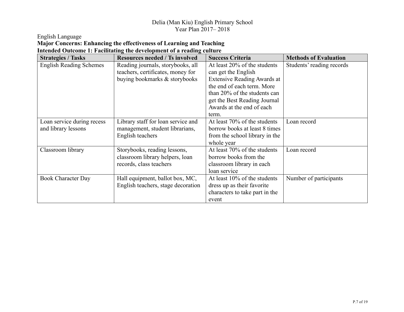English Language

#### **Major Concerns: Enhancing the effectiveness of Learning and Teaching Intended Outcome 1: Facilitating the development of a reading culture**

| <b>Strategies / Tasks</b>      | <b>Resources needed / Ts involved</b> | <b>Success Criteria</b>            | <b>Methods of Evaluation</b> |
|--------------------------------|---------------------------------------|------------------------------------|------------------------------|
| <b>English Reading Schemes</b> | Reading journals, storybooks, all     | At least $20\%$ of the students    | Students' reading records    |
|                                | teachers, certificates, money for     | can get the English                |                              |
|                                | buying bookmarks & storybooks         | <b>Extensive Reading Awards at</b> |                              |
|                                |                                       | the end of each term. More         |                              |
|                                |                                       | than 20% of the students can       |                              |
|                                |                                       | get the Best Reading Journal       |                              |
|                                |                                       | Awards at the end of each          |                              |
|                                |                                       | term.                              |                              |
| Loan service during recess     | Library staff for loan service and    | At least 70% of the students       | Loan record                  |
| and library lessons            | management, student librarians,       | borrow books at least 8 times      |                              |
|                                | English teachers                      | from the school library in the     |                              |
|                                |                                       | whole year                         |                              |
| Classroom library              | Storybooks, reading lessons,          | At least 70% of the students       | Loan record                  |
|                                | classroom library helpers, loan       | borrow books from the              |                              |
|                                | records, class teachers               | classroom library in each          |                              |
|                                |                                       | loan service                       |                              |
| <b>Book Character Day</b>      | Hall equipment, ballot box, MC,       | At least $10\%$ of the students    | Number of participants       |
|                                | English teachers, stage decoration    | dress up as their favorite         |                              |
|                                |                                       | characters to take part in the     |                              |
|                                |                                       | event                              |                              |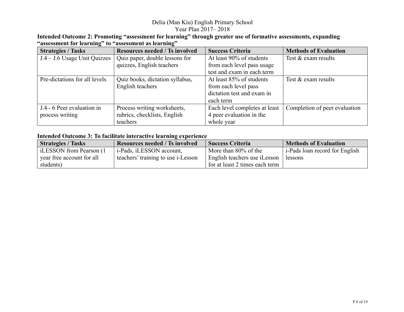| Intended Outcome 2: Promoting "assessment for learning" through greater use of formative assessments, expanding |  |
|-----------------------------------------------------------------------------------------------------------------|--|
| "assessment for learning" to "assessment as learning"                                                           |  |

| <b>Strategies / Tasks</b>      | <b>Resources needed / Ts involved</b> | <b>Success Criteria</b>       | <b>Methods of Evaluation</b>  |
|--------------------------------|---------------------------------------|-------------------------------|-------------------------------|
| $J.4 - J.6$ Usage Unit Quizzes | Quiz paper, double lessons for        | At least 90% of students      | Test & exam results           |
|                                | quizzes, English teachers             | from each level pass usage    |                               |
|                                |                                       | test and exam in each term    |                               |
| Pre-dictations for all levels  | Quiz books, dictation syllabus,       | At least 85% of students      | Test & exam results           |
|                                | English teachers                      | from each level pass          |                               |
|                                |                                       | dictation test and exam in    |                               |
|                                |                                       | each term                     |                               |
| J.4 - 6 Peer evaluation in     | Process writing worksheets,           | Each level completes at least | Completion of peer evaluation |
| process writing                | rubrics, checklists, English          | 4 peer evaluation in the      |                               |
|                                | teachers                              | whole year                    |                               |

#### **Intended Outcome 3: To facilitate interactive learning experience**

| <b>Strategies / Tasks</b> | <b>Resources needed / Ts involved</b> | <b>Success Criteria</b>        | <b>Methods of Evaluation</b>   |
|---------------------------|---------------------------------------|--------------------------------|--------------------------------|
| LESSON from Pearson (1)   | $\vert$ i-Pads, iLESSON account,      | More than $80\%$ of the        | i-Pads loan record for English |
| year free account for all | teachers' training to use i-Lesson    | English teachers use iLesson   | lessons                        |
| students)                 |                                       | for at least 2 times each term |                                |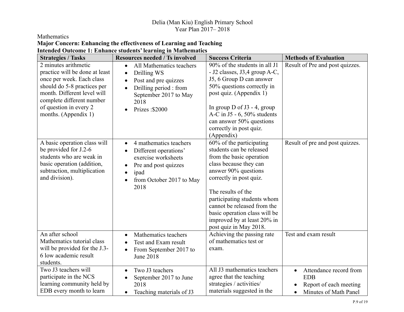#### Mathematics

#### **Major Concern: Enhancing the effectiveness of Learning and Teaching Intended Outcome 1: Enhance students' learning in Mathematics**

| <b>Strategies / Tasks</b>                                                                                                                                                                                                        | <b>Resources needed / Ts involved</b>                                                                                                                                               | <b>Success Criteria</b>                                                                                                                                                                                                                                                                                                                     | <b>Methods of Evaluation</b>                                                                                                   |
|----------------------------------------------------------------------------------------------------------------------------------------------------------------------------------------------------------------------------------|-------------------------------------------------------------------------------------------------------------------------------------------------------------------------------------|---------------------------------------------------------------------------------------------------------------------------------------------------------------------------------------------------------------------------------------------------------------------------------------------------------------------------------------------|--------------------------------------------------------------------------------------------------------------------------------|
| 2 minutes arithmetic<br>practice will be done at least<br>once per week. Each class<br>should do 5-8 practices per<br>month. Different level will<br>complete different number<br>of question in every 2<br>months. (Appendix 1) | All Mathematics teachers<br>$\bullet$<br>Drilling WS<br>$\bullet$<br>Post and pre quizzes<br>Drilling period : from<br>$\bullet$<br>September 2017 to May<br>2018<br>Prizes: \$2000 | 90% of the students in all J1<br>- J2 classes, J3,4 group A-C,<br>J5, 6 Group D can answer<br>50% questions correctly in<br>post quiz. (Appendix 1)<br>In group $D$ of J3 - 4, group<br>A-C in J5 - 6, $50\%$ students<br>can answer 50% questions<br>correctly in post quiz.<br>(Appendix)                                                 | Result of Pre and post quizzes.                                                                                                |
| A basic operation class will<br>be provided for J.2-6<br>students who are weak in<br>basic operation (addition,<br>subtraction, multiplication<br>and division).                                                                 | 4 mathematics teachers<br>$\bullet$<br>Different operations'<br>exercise worksheets<br>Pre and post quizzes<br>ipad<br>$\bullet$<br>from October 2017 to May<br>2018                | 60% of the participating<br>students can be released<br>from the basic operation<br>class because they can<br>answer 90% questions<br>correctly in post quiz.<br>The results of the<br>participating students whom<br>cannot be released from the<br>basic operation class will be<br>improved by at least 20% in<br>post quiz in May 2018. | Result of pre and post quizzes.                                                                                                |
| An after school<br>Mathematics tutorial class<br>will be provided for the J.3-<br>6 low academic result<br>students.                                                                                                             | Mathematics teachers<br>$\bullet$<br>Test and Exam result<br>From September 2017 to<br>$\bullet$<br><b>June 2018</b>                                                                | Achieving the passing rate<br>of mathematics test or<br>exam.                                                                                                                                                                                                                                                                               | Test and exam result                                                                                                           |
| Two J3 teachers will<br>participate in the NCS<br>learning community held by<br>EDB every month to learn                                                                                                                         | Two J3 teachers<br>$\bullet$<br>September 2017 to June<br>2018<br>Teaching materials of J3<br>$\bullet$                                                                             | All J3 mathematics teachers<br>agree that the teaching<br>strategies / activities/<br>materials suggested in the                                                                                                                                                                                                                            | Attendance record from<br>$\bullet$<br><b>EDB</b><br>Report of each meeting<br>$\bullet$<br>Minutes of Math Panel<br>$\bullet$ |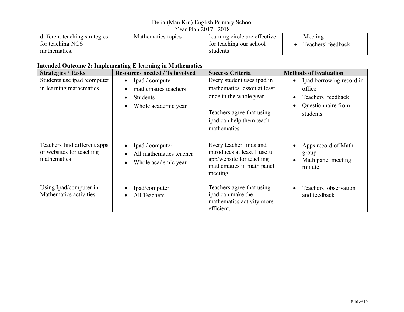#### Delia (Man Kiu) English Primary School

| Year Plan 2017–2018           |                    |                               |                    |
|-------------------------------|--------------------|-------------------------------|--------------------|
| different teaching strategies | Mathematics topics | learning circle are effective | Meeting            |
| for teaching NCS              |                    | for teaching our school       | Teachers' feedback |
| mathematics.                  |                    | students                      |                    |

#### **Intended Outcome 2: Implementing E-learning in Mathematics**

| <b>Strategies / Tasks</b>                                               | <b>Resources needed / Ts involved</b>                                                          | <b>Success Criteria</b>                                                                                                                                      | <b>Methods of Evaluation</b>                                                               |
|-------------------------------------------------------------------------|------------------------------------------------------------------------------------------------|--------------------------------------------------------------------------------------------------------------------------------------------------------------|--------------------------------------------------------------------------------------------|
| Students use ipad /computer<br>in learning mathematics                  | Ipad / computer<br>$\bullet$<br>mathematics teachers<br><b>Students</b><br>Whole academic year | Every student uses ipad in<br>mathematics lesson at least<br>once in the whole year.<br>Teachers agree that using<br>ipad can help them teach<br>mathematics | Ipad borrowing record in<br>office<br>Teachers' feedback<br>Questionnaire from<br>students |
| Teachers find different apps<br>or websites for teaching<br>mathematics | Ipad / computer<br>All mathematics teacher<br>Whole academic year                              | Every teacher finds and<br>introduces at least 1 useful<br>app/website for teaching<br>mathematics in math panel<br>meeting                                  | Apps record of Math<br>group<br>Math panel meeting<br>minute                               |
| Using Ipad/computer in<br>Mathematics activities                        | Ipad/computer<br>All Teachers                                                                  | Teachers agree that using<br>ipad can make the<br>mathematics activity more<br>efficient.                                                                    | Teachers' observation<br>and feedback                                                      |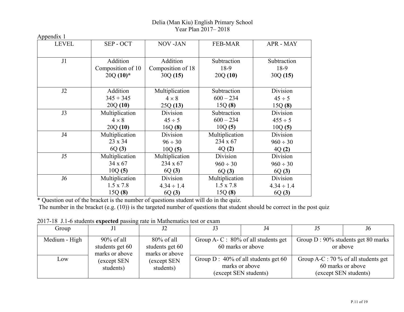| <b>LEVEL</b>   | SEP - OCT         | <b>NOV-JAN</b>    | <b>FEB-MAR</b>   | APR - MAY       |
|----------------|-------------------|-------------------|------------------|-----------------|
| J <sub>1</sub> | Addition          | Addition          | Subtraction      | Subtraction     |
|                | Composition of 10 | Composition of 18 | 18-9             | 18-9            |
|                | $20Q(10)^*$       | 30Q(15)           | 20Q(10)          | 30Q(15)         |
|                |                   |                   |                  |                 |
|                |                   |                   |                  |                 |
| J2             | Addition          | Multiplication    | Subtraction      | Division        |
|                | $345 + 345$       | $4 \times 8$      | $600 - 234$      | $45 \div 5$     |
|                | 20Q(10)           | 25Q(13)           | 15Q(8)           | 15Q(8)          |
| J3             | Multiplication    | Division          | Subtraction      | Division        |
|                | $4 \times 8$      | $45 \div 5$       | $600 - 234$      | $455 \div 5$    |
|                | 20Q(10)           | 16Q(8)            | 10Q(5)           | 10Q(5)          |
| J4             | Multiplication    | Division          | Multiplication   | Division        |
|                | 23 x 34           | $96 \div 30$      | 234 x 67         | $960 \div 30$   |
|                | 6Q(3)             | 10Q(5)            | 4Q(2)            | 4Q(2)           |
| J5             | Multiplication    | Multiplication    | Division         | Division        |
|                | 34 x 67           | 234 x 67          | $960 \div 30$    | $960 \div 30$   |
|                | 10Q(5)            | 6Q(3)             | 6Q(3)            | 6Q(3)           |
| J <sub>6</sub> | Multiplication    | Division          | Multiplication   | Division        |
|                | $1.5 \times 7.8$  | $4.34 \div 1.4$   | $1.5 \times 7.8$ | $4.34 \div 1.4$ |
|                | 15Q(8)            | 6Q(3)             | 15Q(8)           | 6Q(3)           |

\* Question out of the bracket is the number of questions student will do in the quiz.

The number in the bracket (e.g. (10)) is the targeted number of questions that student should be correct in the post quiz

| Group         | J <sub>1</sub>                                     |                                                    | J4                                                                                | J <sub>6</sub>                                                                     |
|---------------|----------------------------------------------------|----------------------------------------------------|-----------------------------------------------------------------------------------|------------------------------------------------------------------------------------|
| Medium - High | $90\%$ of all<br>students get 60<br>marks or above | $80\%$ of all<br>students get 60<br>marks or above | Group A- C : $80\%$ of all students get<br>60 marks or above                      | Group $D: 90\%$ students get 80 marks<br>or above                                  |
| Low           | (except SEN<br>students)                           | (except SEN<br>students)                           | Group $D: 40\%$ of all students get 60<br>marks or above<br>(except SEN students) | Group A-C : 70 % of all students get<br>60 marks or above<br>(except SEN students) |

2017-18 J.1-6 students **expected** passing rate in Mathematics test or exam

Appendix 1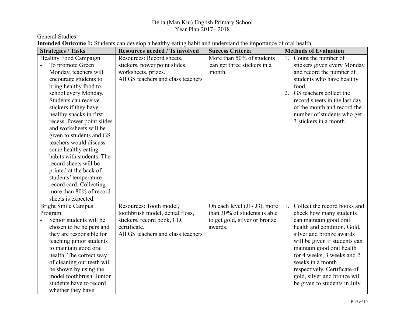General Studies

| <b>Strategies / Tasks</b>    | <b>Resources needed / Ts involved</b> | <b>Success Criteria</b>       | <b>Methods of Evaluation</b>       |
|------------------------------|---------------------------------------|-------------------------------|------------------------------------|
| <b>Healthy Food Campaign</b> | Resources: Record sheets,             | More than 50% of students     | Count the number of<br>1.          |
| To promote Green             | stickers, power point slides,         | can get three stickers in a   | stickers given every Monday        |
| Monday, teachers will        | worksheets, prizes.                   | month.                        | and record the number of           |
| encourage students to        | All GS teachers and class teachers    |                               | students who have healthy          |
| bring healthy food to        |                                       |                               | food.                              |
| school every Monday.         |                                       |                               | GS teachers collect the<br>2.      |
| Students can receive         |                                       |                               | record sheets in the last day      |
| stickers if they have        |                                       |                               | of the month and record the        |
| healthy snacks in first      |                                       |                               | number of students who get         |
| recess. Power point slides   |                                       |                               | 3 stickers in a month.             |
| and worksheets will be       |                                       |                               |                                    |
| given to students and GS     |                                       |                               |                                    |
| teachers would discuss       |                                       |                               |                                    |
| some healthy eating          |                                       |                               |                                    |
| habits with students. The    |                                       |                               |                                    |
| record sheets will be        |                                       |                               |                                    |
| printed at the back of       |                                       |                               |                                    |
| students' temperature        |                                       |                               |                                    |
| record card. Collecting      |                                       |                               |                                    |
| more than 80% of record      |                                       |                               |                                    |
| sheets is expected.          |                                       |                               |                                    |
| <b>Bright Smile Campus</b>   | Resources: Tooth model,               | On each level (J1- J3), more  | Collect the record books and<br>1. |
| Program                      | toothbrush model, dental floss,       | than 30% of students is able  | check how many students            |
| Senior students will be      | stickers, record book, CD,            | to get gold, silver or bronze | can maintain good oral             |
| chosen to be helpers and     | certificate.                          | awards.                       | health and condition. Gold,        |
| they are responsible for     | All GS teachers and class teachers    |                               | silver and bronze awards           |
| teaching junior students     |                                       |                               | will be given if students can      |
| to maintain good oral        |                                       |                               | maintain good oral health          |
| health. The correct way      |                                       |                               | for 4 weeks, 3 weeks and 2         |
| of cleaning our teeth will   |                                       |                               | weeks in a month                   |
| be shown by using the        |                                       |                               | respectively. Certificate of       |
| model toothbrush. Junior     |                                       |                               | gold, silver and bronze will       |
| students have to record      |                                       |                               | be given to students in July.      |
| whether they have            |                                       |                               |                                    |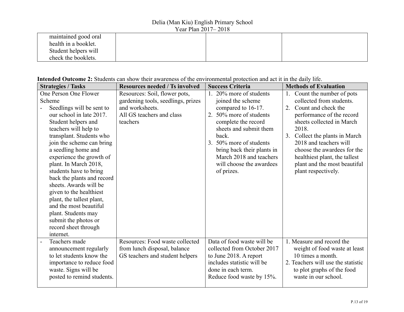| maintained good oral |  |  |
|----------------------|--|--|
| health in a booklet. |  |  |
| Student helpers will |  |  |
| check the booklets.  |  |  |

| <b>Strategies / Tasks</b>  | <b>Resources needed / Ts involved</b> | <b>Success Criteria</b>     | <b>Methods of Evaluation</b>       |
|----------------------------|---------------------------------------|-----------------------------|------------------------------------|
| One Person One Flower      | Resources: Soil, flower pots,         | 20% more of students        | Count the number of pots<br>1.     |
| Scheme                     | gardening tools, seedlings, prizes    | joined the scheme           | collected from students.           |
| Seedlings will be sent to  | and worksheets.                       | compared to 16-17.          | 2. Count and check the             |
| our school in late 2017.   | All GS teachers and class             | 50% more of students<br>2.  | performance of the record          |
| Student helpers and        | teachers                              | complete the record         | sheets collected in March          |
| teachers will help to      |                                       | sheets and submit them      | 2018.                              |
| transplant. Students who   |                                       | back.                       | 3.<br>Collect the plants in March  |
| join the scheme can bring  |                                       | 3.<br>50% more of students  | 2018 and teachers will             |
| a seedling home and        |                                       | bring back their plants in  | choose the awardees for the        |
| experience the growth of   |                                       | March 2018 and teachers     | healthiest plant, the tallest      |
| plant. In March 2018,      |                                       | will choose the awardees    | plant and the most beautiful       |
| students have to bring     |                                       | of prizes.                  | plant respectively.                |
| back the plants and record |                                       |                             |                                    |
| sheets. Awards will be     |                                       |                             |                                    |
| given to the healthiest    |                                       |                             |                                    |
| plant, the tallest plant,  |                                       |                             |                                    |
| and the most beautiful     |                                       |                             |                                    |
| plant. Students may        |                                       |                             |                                    |
| submit the photos or       |                                       |                             |                                    |
| record sheet through       |                                       |                             |                                    |
| internet.                  |                                       |                             |                                    |
| Teachers made              | Resources: Food waste collected       | Data of food waste will be  | 1. Measure and record the          |
| announcement regularly     | from lunch disposal, balance          | collected from October 2017 | weight of food waste at least      |
| to let students know the   | GS teachers and student helpers       | to June 2018. A report      | 10 times a month.                  |
| importance to reduce food  |                                       | includes statistic will be  | 2. Teachers will use the statistic |
| waste. Signs will be       |                                       | done in each term.          | to plot graphs of the food         |
| posted to remind students. |                                       | Reduce food waste by 15%.   | waste in our school.               |
|                            |                                       |                             |                                    |

#### **Intended Outcome 2:** Students can show their awareness of the environmental protection and act it in the daily life.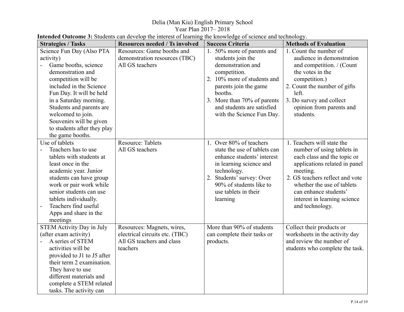#### Delia (Man Kiu) English Primary School

Year Plan 2017– 2018

| Intended Outcome 3: Students can develop the interest of learning the knowledge of science and technology. |  |
|------------------------------------------------------------------------------------------------------------|--|
|------------------------------------------------------------------------------------------------------------|--|

| <b>Strategies / Tasks</b>              | <b>Resources needed / Ts involved</b> | <b>Success Criteria</b>      | <b>Methods of Evaluation</b>    |
|----------------------------------------|---------------------------------------|------------------------------|---------------------------------|
| Science Fun Day (Also PTA              | Resources: Game booths and            | 1. 50% more of parents and   | 1. Count the number of          |
| activity)                              | demonstration resources (TBC)         | students join the            | audience in demonstration       |
| Game booths, science<br>$\overline{a}$ | All GS teachers                       | demonstration and            | and competition. / (Count       |
| demonstration and                      |                                       | competition.                 | the votes in the                |
| competition will be                    |                                       | 2. 10% more of students and  | competition.)                   |
| included in the Science                |                                       | parents join the game        | 2. Count the number of gifts    |
| Fun Day. It will be held               |                                       | booths.                      | left.                           |
| in a Saturday morning.                 |                                       | 3. More than 70% of parents  | 3. Do survey and collect        |
| Students and parents are               |                                       | and students are satisfied   | opinion from parents and        |
| welcomed to join.                      |                                       | with the Science Fun Day.    | students.                       |
| Souvenirs will be given                |                                       |                              |                                 |
| to students after they play            |                                       |                              |                                 |
| the game booths.                       |                                       |                              |                                 |
| Use of tablets                         | <b>Resource: Tablets</b>              | 1. Over 80% of teachers      | 1. Teachers will state the      |
| Teachers has to use                    | All GS teachers                       | state the use of tablets can | number of using tablets in      |
| tablets with students at               |                                       | enhance students' interest   | each class and the topic or     |
| least once in the                      |                                       | in learning science and      | applications related in panel   |
| academic year. Junior                  |                                       | technology.                  | meeting.                        |
| students can have group                |                                       | 2. Students' survey: Over    | 2. GS teachers reflect and vote |
| work or pair work while                |                                       | 90% of students like to      | whether the use of tablets      |
| senior students can use                |                                       | use tablets in their         | can enhance students'           |
| tablets individually.                  |                                       | learning                     | interest in learning science    |
| Teachers find useful                   |                                       |                              | and technology.                 |
| Apps and share in the                  |                                       |                              |                                 |
| meetings                               |                                       |                              |                                 |
| <b>STEM Activity Day in July</b>       | Resources: Magnets, wires,            | More than 90% of students    | Collect their products or       |
| (after exam activity)                  | electrical circuits etc. (TBC)        | can complete their tasks or  | worksheets in the activity day  |
| A series of STEM<br>$\blacksquare$     | All GS teachers and class             | products.                    | and review the number of        |
| activities will be                     | teachers                              |                              | students who complete the task. |
| provided to J1 to J5 after             |                                       |                              |                                 |
| their term 2 examination.              |                                       |                              |                                 |
| They have to use                       |                                       |                              |                                 |
| different materials and                |                                       |                              |                                 |
| complete a STEM related                |                                       |                              |                                 |
| tasks. The activity can                |                                       |                              |                                 |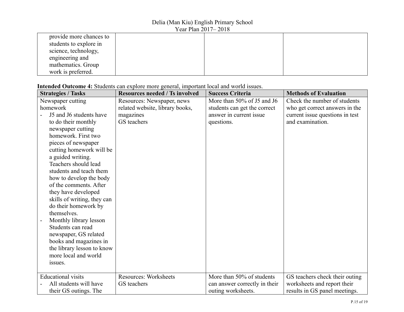| provide more chances to |  |  |
|-------------------------|--|--|
| students to explore in  |  |  |
| science, technology,    |  |  |
| engineering and         |  |  |
| mathematics. Group      |  |  |
| work is preferred.      |  |  |

#### **Intended Outcome 4:** Students can explore more general, important local and world issues.

| <b>Strategies / Tasks</b>   | <b>Resources needed / Ts involved</b> | <b>Success Criteria</b>       | <b>Methods of Evaluation</b>    |
|-----------------------------|---------------------------------------|-------------------------------|---------------------------------|
| Newspaper cutting           | Resources: Newspaper, news            | More than 50% of J5 and J6    | Check the number of students    |
| homework                    | related website, library books,       | students can get the correct  | who get correct answers in the  |
| J5 and J6 students have     | magazines                             | answer in current issue       | current issue questions in test |
| to do their monthly         | GS teachers                           | questions.                    | and examination.                |
| newspaper cutting           |                                       |                               |                                 |
| homework. First two         |                                       |                               |                                 |
| pieces of newspaper         |                                       |                               |                                 |
| cutting homework will be    |                                       |                               |                                 |
| a guided writing.           |                                       |                               |                                 |
| Teachers should lead        |                                       |                               |                                 |
| students and teach them     |                                       |                               |                                 |
| how to develop the body     |                                       |                               |                                 |
| of the comments. After      |                                       |                               |                                 |
| they have developed         |                                       |                               |                                 |
| skills of writing, they can |                                       |                               |                                 |
| do their homework by        |                                       |                               |                                 |
| themselves.                 |                                       |                               |                                 |
| Monthly library lesson      |                                       |                               |                                 |
| Students can read           |                                       |                               |                                 |
| newspaper, GS related       |                                       |                               |                                 |
| books and magazines in      |                                       |                               |                                 |
| the library lesson to know  |                                       |                               |                                 |
| more local and world        |                                       |                               |                                 |
| issues.                     |                                       |                               |                                 |
|                             |                                       |                               |                                 |
| <b>Educational visits</b>   | <b>Resources: Worksheets</b>          | More than 50% of students     | GS teachers check their outing  |
| All students will have      | GS teachers                           | can answer correctly in their | worksheets and report their     |
| their GS outings. The       |                                       | outing worksheets.            | results in GS panel meetings.   |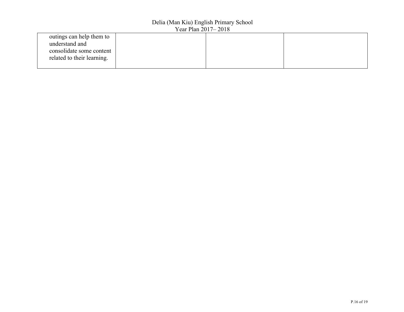| outings can help them to   |  |  |
|----------------------------|--|--|
| understand and             |  |  |
| consolidate some content   |  |  |
| related to their learning. |  |  |
|                            |  |  |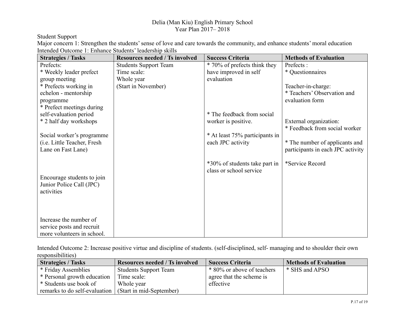Student Support

Major concern 1: Strengthen the students' sense of love and care towards the community, and enhance students' moral education Intended Outcome 1: Enhance Students' leadership skills

| <b>Strategies / Tasks</b>                                | <b>Resources needed / Ts involved</b> | <b>Success Criteria</b>                             | <b>Methods of Evaluation</b>      |
|----------------------------------------------------------|---------------------------------------|-----------------------------------------------------|-----------------------------------|
| Prefects:                                                | <b>Students Support Team</b>          | * 70% of prefects think they                        | Prefects:                         |
| * Weekly leader prefect                                  | Time scale:                           | have improved in self                               | * Questionnaires                  |
| group meeting                                            | Whole year                            | evaluation                                          |                                   |
| * Prefects working in                                    | (Start in November)                   |                                                     | Teacher-in-charge:                |
| echelon - mentorship                                     |                                       |                                                     | * Teachers' Observation and       |
| programme                                                |                                       |                                                     | evaluation form                   |
| * Prefect meetings during                                |                                       |                                                     |                                   |
| self-evaluation period                                   |                                       | * The feedback from social                          |                                   |
| * 2 half day workshops                                   |                                       | worker is positive.                                 | External organization:            |
|                                                          |                                       |                                                     | * Feedback from social worker     |
| Social worker's programme<br>(i.e. Little Teacher, Fresh |                                       | * At least 75% participants in<br>each JPC activity | * The number of applicants and    |
| Lane on Fast Lane)                                       |                                       |                                                     | participants in each JPC activity |
|                                                          |                                       |                                                     |                                   |
|                                                          |                                       | *30% of students take part in                       | *Service Record                   |
|                                                          |                                       | class or school service                             |                                   |
| Encourage students to join                               |                                       |                                                     |                                   |
| Junior Police Call (JPC)                                 |                                       |                                                     |                                   |
| activities                                               |                                       |                                                     |                                   |
|                                                          |                                       |                                                     |                                   |
|                                                          |                                       |                                                     |                                   |
|                                                          |                                       |                                                     |                                   |
| Increase the number of                                   |                                       |                                                     |                                   |
| service posts and recruit                                |                                       |                                                     |                                   |
| more volunteers in school.                               |                                       |                                                     |                                   |

Intended Outcome 2: Increase positive virtue and discipline of students. (self-disciplined, self- managing and to shoulder their own responsibilities)

| <b>Strategies / Tasks</b>                              | <b>Resources needed / Ts involved</b> | <b>Success Criteria</b>    | <b>Methods of Evaluation</b> |
|--------------------------------------------------------|---------------------------------------|----------------------------|------------------------------|
| * Friday Assemblies                                    | <b>Students Support Team</b>          | * 80% or above of teachers | * SHS and APSO               |
| * Personal growth education                            | Time scale:                           | agree that the scheme is   |                              |
| * Students use book of                                 | Whole year                            | effective                  |                              |
| remarks to do self-evaluation (Start in mid-September) |                                       |                            |                              |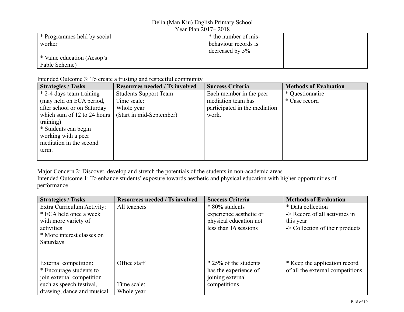| * Programmes held by social | * the number of mis- |  |  |
|-----------------------------|----------------------|--|--|
| worker                      | behaviour records is |  |  |
|                             | decreased by $5\%$   |  |  |
| * Value education (Aesop's  |                      |  |  |
| Fable Scheme)               |                      |  |  |

Intended Outcome 3: To create a trusting and respectful community

| <b>Strategies / Tasks</b>   | <b>Resources needed / Ts involved</b> | <b>Success Criteria</b>       | <b>Methods of Evaluation</b> |
|-----------------------------|---------------------------------------|-------------------------------|------------------------------|
| * 2-4 days team training    | <b>Students Support Team</b>          | Each member in the peer       | * Questionnaire              |
| (may held on ECA period,    | Time scale:                           | mediation team has            | * Case record                |
| after school or on Saturday | Whole year                            | participated in the mediation |                              |
| which sum of 12 to 24 hours | (Start in mid-September)              | work.                         |                              |
| training)                   |                                       |                               |                              |
| * Students can begin        |                                       |                               |                              |
| working with a peer         |                                       |                               |                              |
| mediation in the second     |                                       |                               |                              |
| term.                       |                                       |                               |                              |
|                             |                                       |                               |                              |

Major Concern 2: Discover, develop and stretch the potentials of the students in non-academic areas. Intended Outcome 1: To enhance students' exposure towards aesthetic and physical education with higher opportunities of performance

| <b>Strategies / Tasks</b>  | <b>Resources needed / Ts involved</b> | <b>Success Criteria</b> | <b>Methods of Evaluation</b>        |
|----------------------------|---------------------------------------|-------------------------|-------------------------------------|
| Extra Curriculum Activity: | All teachers                          | * 80% students          | * Data collection                   |
| * ECA held once a week     |                                       | experience aesthetic or | $\geq$ Record of all activities in  |
| with more variety of       |                                       | physical education not  | this year                           |
| activities                 |                                       | less than 16 sessions   | $\sim$ Collection of their products |
| * More interest classes on |                                       |                         |                                     |
| Saturdays                  |                                       |                         |                                     |
|                            |                                       |                         |                                     |
| External competition:      | Office staff                          | * 25% of the students   | * Keep the application record       |
| * Encourage students to    |                                       | has the experience of   | of all the external competitions    |
| join external competition  |                                       | joining external        |                                     |
| such as speech festival,   | Time scale:                           | competitions            |                                     |
| drawing, dance and musical | Whole year                            |                         |                                     |